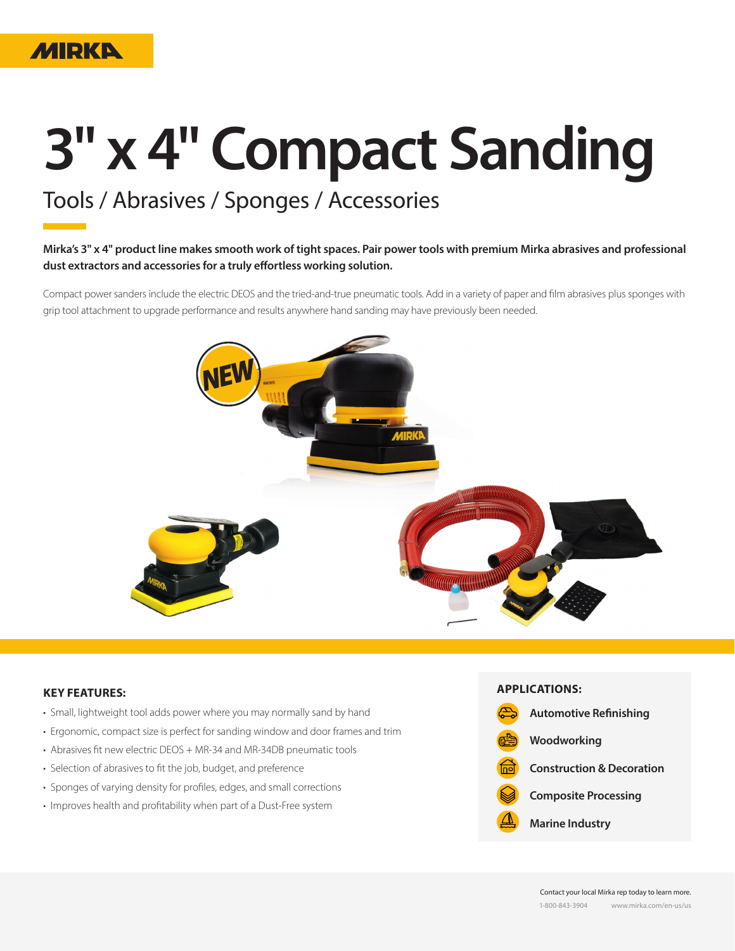

# **3" x 4" Compact Sanding**

## Tools / Abrasives / Sponges / Accessories

#### **Mirka's 3" x 4" product line makes smooth work of tight spaces. Pair power tools with premium Mirka abrasives and professional dust extractors and accessories for a truly effortless working solution.**

Compact power sanders include the electric DEOS and the tried-and-true pneumatic tools. Add in a variety of paper and film abrasives plus sponges with grip tool attachment to upgrade performance and results anywhere hand sanding may have previously been needed.



#### **KEY FEATURES:**

- Small, lightweight tool adds power where you may normally sand by hand
- Ergonomic, compact size is perfect for sanding window and door frames and trim
- Abrasives fit new electric DEOS + MR-34 and MR-34DB pneumatic tools
- Selection of abrasives to fit the job, budget, and preference
- Sponges of varying density for profiles, edges, and small corrections
- Improves health and profitability when part of a Dust-Free system

**APPLICATIONS: Automotive Refinishing**